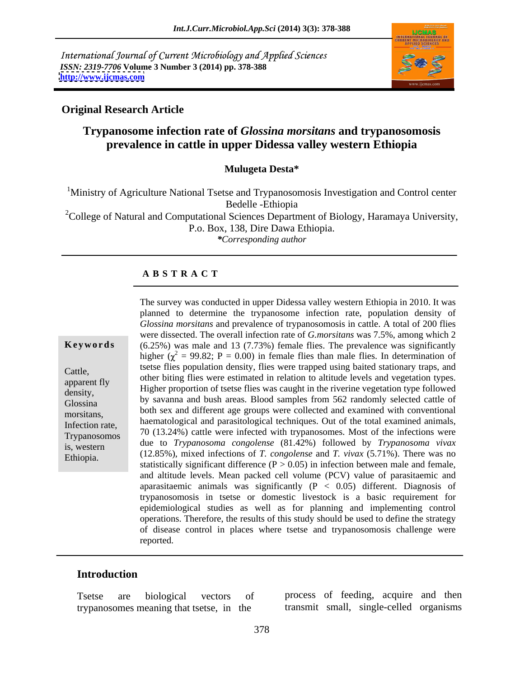International Journal of Current Microbiology and Applied Sciences *ISSN: 2319-7706* **Volume 3 Number 3 (2014) pp. 378-388 <http://www.ijcmas.com>**



## **Original Research Article**

# **Trypanosome infection rate of** *Glossina morsitans* **and trypanosomosis prevalence in cattle in upper Didessa valley western Ethiopia**

**Mulugeta Desta\***

<sup>1</sup>Ministry of Agriculture National Tsetse and Trypanosomosis Investigation and Control center Bedelle -Ethiopia <sup>2</sup>College of Natural and Computational Sciences Department of Biology, Haramaya University, P.o. Box, 138, Dire Dawa Ethiopia. *\*Corresponding author*

### **A B S T R A C T**

**Keywords** (6.25%) was male and 13 (7.73%) female flies. The prevalence was significantly Cattle, tsetse flies population density, flies were trapped using baited stationary traps, and other biting flies were estimated in relation to altitude levels and vegetation types.<br>apparent fly density, Higher proportion of tsetse flies was caught in the riverine vegetation type followed Glossina by savanna and bush areas. Blood samples from 562 randomly selected cattleof both sex and different age groups were collected and examined with conventional both sex and different age groups were collected and examined with conventional Infection rate, haematological and parasitological techniques. Out of the total examined animals, Trypanosomos  $\frac{70}{13.24\%}$  cattle were infected with trypanosomes. Most of the infections were is, western due to *Trypanosoma congolense* (81.42%) followed by *Trypanosoma vivax* Ethiopia. (12.85%), mixed infections of *T. congolense* and *T. vivax* (5.71%). There was no The survey was conducted in upper Didessa valley western Ethiopia in 2010. It was planned to determine the trypanosome infection rate, population density of *Glossina morsitans* and prevalence of trypanosomosis in cattle. A total of 200 flies were dissected. The overall infection rate of *G.morsitans* was 7.5%, among which 2 higher ( $\chi^2$  = 99.82; P = 0.00) in female flies than male flies. In determination of statistically significant difference  $(P > 0.05)$  in infection between male and female, and altitude levels. Mean packed cell volume (PCV) value of parasitaemic and aparasitaemic animals was significantly  $(P < 0.05)$  different. Diagnosis of trypanosomosis in tsetse or domestic livestock is a basic requirement for epidemiological studies as well as for planning and implementing control operations. Therefore, the results of this study should be used to define the strategy of disease control in places where tsetse and trypanosomosis challenge were reported.

### **Introduction**

trypanosomes meaning that tsetse, in the

Tsetse are biological vectors of process of feeding, acquire and then transmit small, single-celled organisms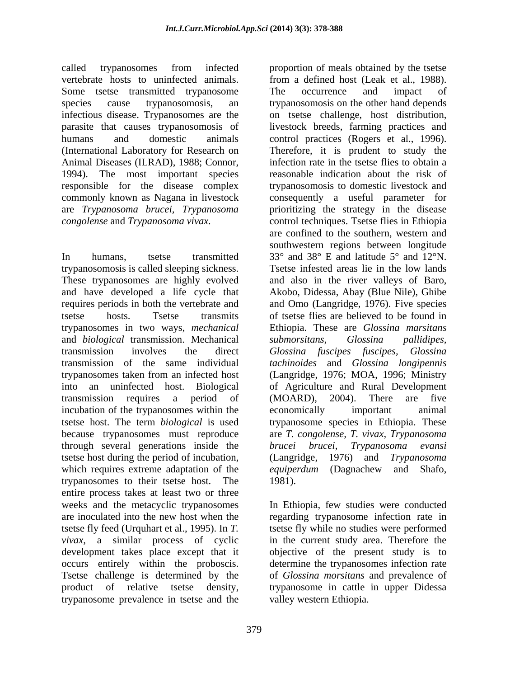vertebrate hosts to uninfected animals. from a defined host (Leak et al., 1988). Some tsetse transmitted trypanosome The occurrence and impact of infectious disease. Trypanosomes are the on tsetse challenge, host distribution, parasite that causes trypanosomosis of livestock breeds, farming practices and Animal Diseases (ILRAD), 1988; Connor, 1994). The most important species

trypanosomes in two ways, *mechanical* and *biological* transmission. Mechanical incubation of the trypanosomes within the economically important animal through several generations inside the *brucei brucei*, *Trypanosoma evansi* tsetse host during the period of incubation, (Langridge, 1976) and Trypanosoma which requires extreme adaptation of the *equiperdum* (Dagnachew and Shafo, trypanosomes to their tsetse host. The entire process takes at least two or three weeks and the metacyclic trypanosomes In Ethiopia, few studies were conducted are inoculated into the new host when the regarding trypanosome infection rate in tsetse fly feed (Urquhart et al., 1995). In *T.*  tsetse fly while no studies were performed *vivax*, a similar process of cyclic in the current study area. Therefore the development takes place except that it occurs entirely within the proboscis. determine the trypanosomes infection rate Tsetse challenge is determined by the of *Glossina morsitans* and prevalence of product of relative tsetse density, trypanosome in cattle in upper Didessa trypanosome prevalence in tsetse and the

called trypanosomes from infected proportion of meals obtained by the tsetse species cause trypanosomosis, an trypanosomosis on the other hand depends humans and domestic animals control practices (Rogers et al., 1996). (International Laboratory for Research on Therefore, it is prudent to study the responsible for the disease complex trypanosomosis to domestic livestock and commonly known as Nagana in livestock consequently a useful parameter for are *Trypanosoma brucei, Trypanosoma* prioritizing the strategy in the disease *congolense* and *Trypanosoma vivax.* control techniques. Tsetse flies in Ethiopia In humans, tsetse transmitted 33° and 38° E and latitude 5° and 12°N. trypanosomosis is called sleeping sickness. Tsetse infested areas lie in the low lands<br>These trypanosomes are highly evolved and also in the river valleys of Baro, and have developed a life cycle that Akobo, Didessa, Abay (Blue Nile), Ghibe requires periods in both the vertebrate and and Omo (Langridge, 1976). Five species tsetse hosts. Tsetse transmits oftsetse flies are believed to be found in transmission involves the direct *Glossina fuscipes fuscipes, Glossina* transmission of the same individual *tachinoides* and *Glossina longipennis* trypanosomes taken from an infected host (Langridge, 1976; MOA, 1996; Ministry into an uninfected host. Biological of Agriculture and Rural Development transmission requires a period of (MOARD), 2004). There are five tsetse host. The term *biological* is used trypanosome species in Ethiopia. These because trypanosomes must reproduce are *T. congolense, T. vivax, Trypanosoma* from a defined host (Leak et al., 1988).<br>The occurrence and impact of on tsetse challenge, host distribution,<br>livestock breeds, farming practices and infection rate in the tsetse flies to obtain a reasonable indication about the risk of are confined to the southern, western and southwestern regions between longitude Tsetse infested areas lie in the low lands and also in the river valleys of Baro, Ethiopia. These are *Glossina marsitans submorsitans, Glossina pallidipes,* (MOARD), 2004). There are five economically important animal *brucei brucei, Trypanosoma evansi* (Langridge, 1976) and *Trypanosoma equiperdum* (Dagnachew and Shafo, 1981).

> objective of the present study is to valley western Ethiopia.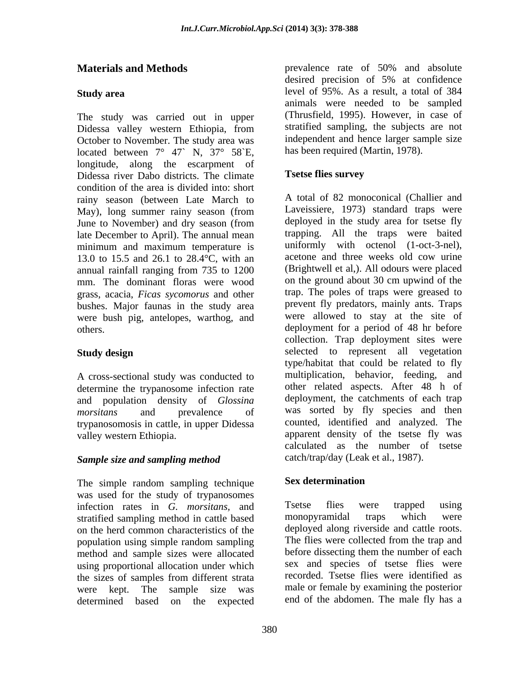The study was carried out in upper Didessa valley western Ethiopia, from October to November. The study area was located between  $7^{\circ}$  47` N,  $37^{\circ}$  58`E, longitude, along the escarpment of Didessa river Dabo districts. The climate condition of the area is divided into: short rainy season (between Late March to May), long summer rainy season (from late December to April). The annual mean 13.0 to 15.5 and 26.1 to 28.4°C, with an acetone and three weeks old cow urine mm. The dominant floras were wood grass, acacia, *Ficas sycomorus* and other bushes. Major faunas in the study area were bush pig, antelopes, warthog, and

A cross-sectional study was conducted to determine the trypanosome infection rate and population density of *Glossina*  trypanosomosis in cattle, in upper Didessa

## *Sample size and sampling method*

The simple random sampling technique was used for the study of trypanosomes<br>infection rates in G morsitans and Tsetse flies were trapped using infection rates in *G. morsitans*, and Tsetse flies were trapped<br>stratified sampling method in cattle based monopyramidal traps which stratified sampling method in cattle based monopyramidal traps which were on the herd common characteristics of the deployed along riverside and cattle roots.<br>
nopulation using simple random sampling The flies were collected from the trap and method and sample sizes were allocated using proportional allocation under which the sizes of samples from different strata determined based on the expected end of the abdomen. The male fly has a

**Materials and Methods** prevalence rate of 50% and absolute **Study area**  level of 95%. As a result, a total of 384 desired precision of 5% at confidence animals were needed to be sampled (Thrusfield, 1995). However, in case of stratified sampling, the subjects are not independent and hence larger sample size has been required (Martin, 1978).

### **Tsetse flies survey**

June to November) and dry season (from deployed in the study area for tsetse fly minimum and maximum temperature is uniformly with octenol (1-oct-3-nel), annual rainfall ranging from 735 to 1200 others. deployment for a period of 48 hr before **Study design Study design Study design Study design Study design Study design Study design Study design** morsitans and prevalence of was sorted by fly species and then valley western Ethiopia. apparent density of the tsetse fly was A total of 82 monoconical (Challier and Laveissiere, 1973) standard traps were deployed in the study area for tsetse fly trapping. All the traps were baited uniformly with octenol (1-oct-3-nel), acetone and three weeks old cow urine (Brightwell et al,). All odours were placed on the ground about 30 cm upwind of the trap. The poles of traps were greased to prevent fly predators, mainly ants. Traps were allowed to stay at the site of collection. Trap deployment sites were type/habitat that could be related to fly multiplication, behavior, feeding, and other related aspects. After 48 h of deployment, the catchments of each trap counted, identified and analyzed. The calculated as the number of tsetse catch/trap/day (Leak et al., 1987).

## **Sex determination**

population using simple random sampling The flies were collected from the trap and were kept. The sample size was male or female by examining the posterior Tsetse flies were trapped using monopyramidal traps which were deployed along riverside and cattle roots. The flies were collected from the trap and before dissecting them the number of each sex and species of tsetse flies were recorded. Tsetse flies were identified as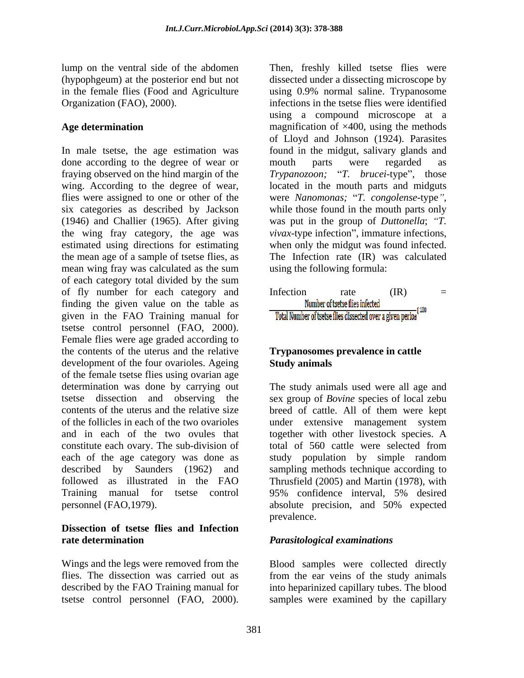lump on the ventral side of the abdomen Then, freshly killed tsetse flies were

In male tsetse, the age estimation was found in the midgut, salivary glands and done according to the degree of wear or mouth parts were regarded as fraying observed on the hind margin of the *Trypanozoon;* "T. *brucei*-type", those wing. According to the degree of wear, located in the mouth parts and midguts flies were assigned to one or other of the were Nanomonas; "T. congolense-type", six categories as described by Jackson (1946) and Challier (1965). After giving the wing fray category, the age was *vivax*-type infection", immature infections, estimated using directions for estimating when only the midgut was found infected. the mean age of a sample of tsetse flies, as mean wing fray was calculated as the sum of each category total divided by the sum finding the given value on the table as Mumber of tsetse flies infected  $\frac{N_{\text{un}}}{N_{\text{un}}+N_{\text{un}}+N_{\text{un}}+N_{\text{un}}+N_{\text{un}}+N_{\text{un}}+N_{\text{un}}+N_{\text{un}}+N_{\text{un}}+N_{\text{un}}+N_{\text{un}}+N_{\text{un}}+N_{\text{un}}+N_{\text{un}}+N_{\text{un}}+N_{\text{un}}+N_{\text{un}}+N_{$ given in the FAO Training manual for **Total Number of tsetse flies dissected over a given period** tsetse control personnel (FAO, 2000). Female flies were age graded according to the contents of the uterus and the relative development of the four ovarioles. Ageing of the female tsetse flies using ovarian age determination was done by carrying out The study animals used were all age and tsetse dissection and observing the sex group of *Bovine* species of local zebu contents of the uterus and the relative size breed of cattle. All of them were kept of the follicles in each of the two ovarioles under extensive management system and in each of the two ovules that together with other livestock species. A constitute each ovary. The sub-division of each of the age category was done as study population by simple random described by Saunders (1962) and sampling methods technique according to followed as illustrated in the FAO Thrusfield (2005) and Martin (1978), with Training manual for tsetse control 95% confidence interval, 5% desired personnel (FAO,1979). absolute precision, and 50% expected then the ventral side of the absorber of the absorber of the matter in the simulation of the control personnel (FAO, 1970). The simulation of the simulation is the control of the simulation of the simulation of the simula

### **Dissection of tsetse flies and Infection rate determination**  *Parasitological examinations*

Wings and the legs were removed from the Blood samples were collected directly flies. The dissection was carried out as from the ear veins of the study animals described by the FAO Training manual for into heparinized capillary tubes. The blood

(hypophgeum) at the posterior end but not dissected under a dissecting microscope by in the female flies (Food and Agriculture using 0.9% normal saline. Trypanosome Organization (FAO), 2000). infections in the tsetse flies were identified Age determination **Age determination Example 1** and the magnification of  $\times$ 400, using the methods using a compound microscope at a of Lloyd and Johnson (1924). Parasites mouth parts were regarded as were *Nanomonas;* "T. *congolense*-type",<br>while those found in the mouth parts only was put in the group of *Duttonella*; "T. The Infection rate (IR) was calculated using the following formula:



### **Trypanosomes prevalence in cattle Study animals**

breed of cattle. All of them were kept total of 560 cattle were selected from study population by simple random 95% confidence interval, 5% desired absolute precision, and 50% expected prevalence.

samples were examined by the capillary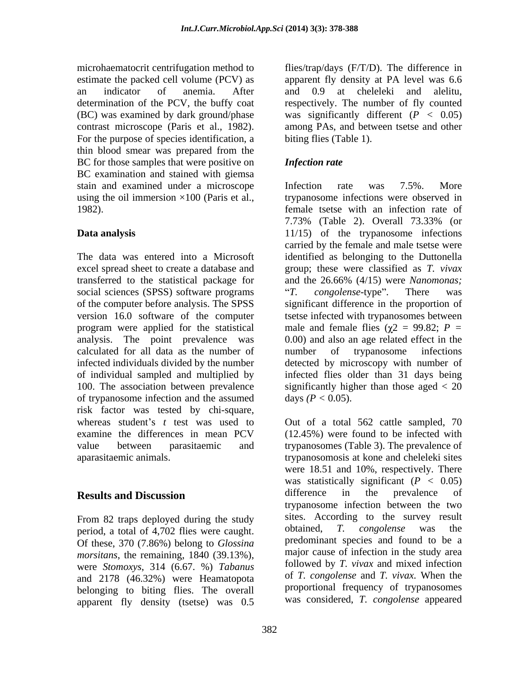determination of the PCV, the buffy coat respectively. The number of fly counted contrast microscope (Paris et al., 1982). For the purpose of species identification, a thin blood smear was prepared from the BC for those samples that were positive on **Infection rate** BC examination and stained with giemsa stain and examined under a microscope lifection rate was 7.5%. More using the oil immersion  $\times$ 100 (Paris et al.,

transferred to the statistical package for and the 26.66% (4/15) were Nanomonas; social sciences (SPSS) software programs "T. congolense-type". There was version 16.0 software of the computer analysis. The point prevalence was calculated for all data as the number of of trypanosome infection and the assumed risk factor was tested by chi-square,

From 82 traps deployed during the study<br>
From 82 traps deployed during the study<br>  $\frac{\text{sites. According to the survey result}}{\text{obtained.}T}$ <br>  $\frac{cong \text{cong, the surface of } 4.702 \text{ flies were count} \times \text{obtained}}{T}$ period, a total of 4,702 flies were caught. Of these, 370 (7.86%) belong to *Glossina morsitans*, the remaining, 1840 (39.13%), were *Stomoxys*, 314 (6.67. %) *Tabanus*  and 2178 (46.32%) were Heamatopota belonging to biting flies. The overall apparent fly density (tsetse) was 0.5

microhaematocrit centrifugation method to flies/trap/days (F/T/D). The difference in estimate the packed cell volume (PCV) as apparent fly density at PA level was 6.6 an indicator of anemia. After (BC) was examined by dark ground/phase was significantly different (*P <* 0.05) and 0.9 at cheleleki and alelitu, respectively. The number of fly counted among PAs, and between tsetse and other biting flies (Table 1).

# *Infection rate*

1982). female tsetse with an infection rate of **Data analysis**  11/15) of the trypanosome infections The data was entered into a Microsoft identified as belonging to the Duttonella excel spread sheet to create a database and group; these were classified as *T. vivax* of the computer before analysis. The SPSS significant difference in the proportion of program were applied for the statistical male and female flies  $(\chi^2 = 99.82; P =$ infected individuals divided by the number detected by microscopy with number of of individual sampled and multiplied by infected flies older than 31 days being 100. The association between prevalence significantly higher than those aged < 20 Infection rate was 7.5%. More trypanosome infections were observed in 7.73% (Table 2). Overall 73.33% (or carried by the female and male tsetse were and the 26.66% (4/15) were *Nanomonas; T. congolense*-type". There was tsetse infected with trypanosomes between 0.00) and also an age related effect in the number of trypanosome infections days  $(P < 0.05)$ .

whereas student's *t* test was used to Out of a total 562 cattle sampled, 70 examine the differences in mean PCV (12.45%) were found to be infected with value between parasitaemic and trypanosomes (Table 3). The prevalence of aparasitaemic animals. trypanosomosis at kone and cheleleki sites **Results and Discussion Example 3** difference in the prevalence of were 18.51 and 10%, respectively. There was statistically significant  $(P < 0.05)$ difference in the prevalence of trypanosome infection between the two sites. According to the survey result obtained, *T. congolense* was the predominant species and found to be a major cause of infection in the study area followed by *T. vivax* and mixed infection of *T. congolense* and *T. vivax.* When the proportional frequency of trypanosomes was considered, *T. congolense* appeared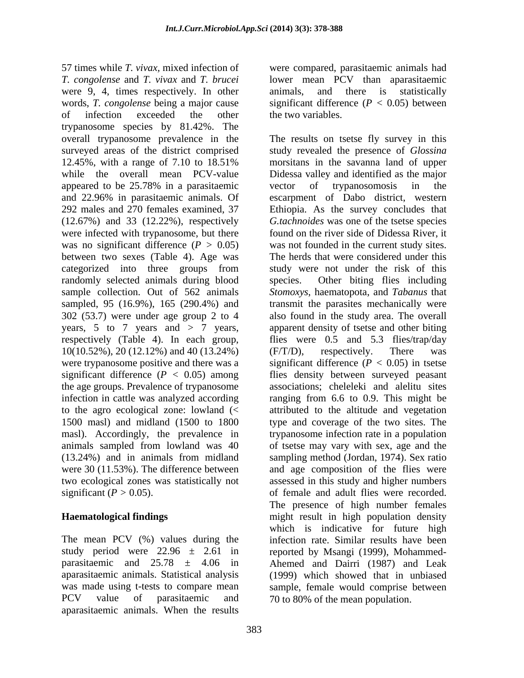57 times while *T. vivax,* mixed infection of were compared, parasitaemic animals had *T. congolense* and *T. vivax* and *T. brucei* lower mean PCV than aparasitaemic were 9, 4, times respectively. In other animals, and there is statistically words, *T. congolense* being a major cause significant difference (*P <* 0.05) between of infection exceeded the other the two variables. trypanosome species by 81.42%. The overall trypanosome prevalence in the The results on tsetse fly survey in this surveyed areas of the district comprised study revealed the presence of *Glossina* 12.45%, with a range of 7.10 to 18.51% morsitans in the savanna land of upper while the overall mean PCV-value Didessa valley and identified as the major appeared to be 25.78% in a parasitaemic and 22.96% in parasitaemic animals. Of escarpment of Dabo district, western 292 males and 270 females examined, 37 Ethiopia. As the survey concludes that (12.67%) and 33 (12.22%), respectively *G.tachnoides* was one of the tsetse species were infected with trypanosome, but there was no significant difference  $(P > 0.05)$ between two sexes (Table 4). Age was categorized into three groups from study were not under the risk of this randomly selected animals during blood species. sample collection. Out of 562 animals *Stomoxys*, haematopota, and *Tabanus* that sampled, 95 (16.9%), 165 (290.4%) and transmit the parasites mechanically were 302 (53.7) were under age group 2 to 4 also found in the study area. The overall years, 5 to 7 years and > 7 years, apparent density of tsetse and other biting respectively (Table 4). In each group, flies were 0.5 and 5.3 flies/trap/day 10(10.52%), 20 (12.12%) and 40 (13.24%) (F/T/D), respectively. There was were trypanosome positive and there was a significant difference (*P <* 0.05) in tsetse significant difference (*P <* 0.05) among flies density between surveyed peasant the age groups. Prevalence of trypanosome associations; cheleleki and alelitu sites infection in cattle was analyzed according ranging from 6.6 to 0.9. This might be to the agro ecological zone: lowland (< attributed to the altitude and vegetation 1500 masl) and midland (1500 to 1800 type and coverage of the two sites. The masl). Accordingly, the prevalence in animals sampled from lowland was 40 of tsetse may vary with sex, age and the (13.24%) and in animals from midland sampling method (Jordan, 1974). Sex ratio were 30 (11.53%). The difference between and age composition of the flies were two ecological zones was statistically not

The mean PCV (%) values during the aparasitaemic animals. Statistical analysis aparasitaemic animals. When the results

animals, and there is statistically the two variables.

significant  $(P > 0.05)$ . of female and adult flies were recorded. **Haematological findings**  might result in high population density study period were  $22.96 \pm 2.61$  in reported by Msangi (1999), Mohammedparasitaemic and 25.78 ± 4.06 in Ahemed and Dairri (1987) and Leak was made using t-tests to compare mean sample, female would comprise between PCV value of parasitaemic and 70 to 80% of the mean population. morsitans in the savanna land of upper vector of trypanosomosis in the found on the river side of Didessa River, it was not founded in the current study sites. The herds that were considered under this Other biting flies including (F/T/D), respectively. There was trypanosome infection rate in a population assessed in this study and higher numbers The presence of high number females which is indicative for future high infection rate. Similar results have been (1999) which showed that in unbiased 70 to 80% of the mean population.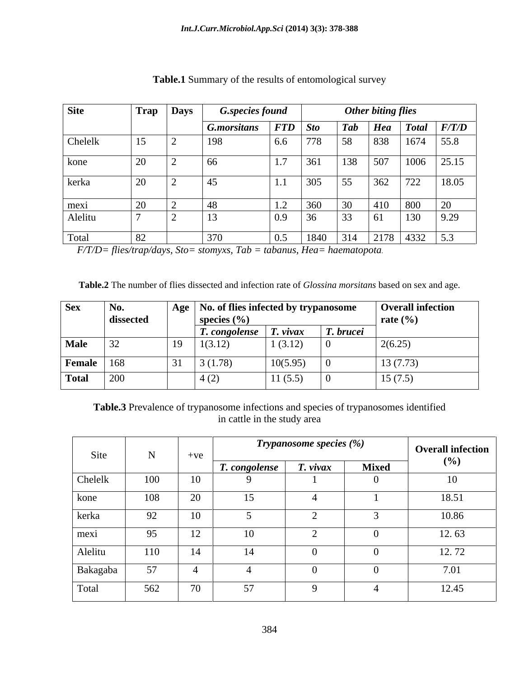| <b>Site</b> | Trap                 | Days            | <b>G.species found</b> |                     |      | <b>Other biting flies</b>   |     |                                                                                   |                     |
|-------------|----------------------|-----------------|------------------------|---------------------|------|-----------------------------|-----|-----------------------------------------------------------------------------------|---------------------|
|             |                      |                 | G.morsitans            | $\mid FTD \mid Sto$ |      | <b>Tab</b>                  |     |                                                                                   | $Hea$ Total $F/T/D$ |
| Chelelk     | 15                   | $\vert$ $\vert$ | 198                    | 6.6                 | 778  | $\sim$ $\sim$<br>158        |     | 838 1674 55.8                                                                     |                     |
| kone        | ∠∪                   | $\sim$          | 66                     | 1.7                 | 361  | 130                         | 507 | $1006$ 25.15                                                                      |                     |
| kerka       | $\sim$<br>$\angle U$ | $\sim$          | 45                     |                     | 305  | $\overline{\phantom{0}}$    | 362 | 722                                                                               | 18.05               |
| mexi        |                      | └               | 48                     | $\perp$ . $\perp$   | 360  |                             | 410 | 800                                                                               | 20                  |
| Alelitu     |                      | $\sim$          | <sup>13</sup>          | 0.9                 | 36   | $\overline{\phantom{0}}$ 55 | 61  | 130                                                                               | 9.29                |
| Total       |                      |                 | 370                    | 0.5                 | 1840 | 314                         |     | $\begin{array}{ c c c c c c c c } \hline 2178 & 4332 & 5.3 \\ \hline \end{array}$ |                     |

### **Table.1** Summary of the results of entomological survey

*F/T/D= flies/trap/days, Sto= stomyxs, Tab = tabanus, Hea= haematopota.*

**Table.2** The number of flies dissected and infection rate of *Glossina morsitans* based on sex and age.

| <b>Sex</b>    | No.<br>dissected | Age            | $\Box$ No. of flies infected by trypanosome<br>species $(\% )$ |                   |                           | <b>Overall infection</b><br>rate $(\% )$ |
|---------------|------------------|----------------|----------------------------------------------------------------|-------------------|---------------------------|------------------------------------------|
|               |                  |                | T. congolense                                                  | vivax             | $\mathbf{r}$<br>T. brucei |                                          |
| <b>Male</b>   | 32               | $\overline{1}$ | 1(3.12)                                                        | 1(3.12)           |                           | 2(6.25)                                  |
| <b>Female</b> | 168              | 31             | 3(1.78)                                                        | 10(5.95)          |                           | 13(7.73)                                 |
| <b>Total</b>  | 200              |                | $-4(\angle$                                                    | 11(55)<br>11(3.5) |                           | 15(7.5)                                  |

**Table.3** Prevalence of trypanosome infections and species of trypanosomes identified in cattle in the study area

|          | <b>NT</b>    |                        | <b>Trypanosome species (%)</b> | <b>Overall infection</b> |              |       |
|----------|--------------|------------------------|--------------------------------|--------------------------|--------------|-------|
| Site     | $\mathbf{N}$ | $+ve$                  | T. congolense                  | $\mathbf{r}$<br>T. vivax | <b>Mixed</b> | (%)   |
| Chelelk  | 100          | 10                     |                                |                          |              | 10    |
| kone     | 108          | $\Omega$<br>$\angle U$ | 15                             |                          |              | 18.51 |
| kerka    | 92           | 10                     |                                |                          |              | 10.86 |
| mexi     | 95           | 12                     | 10                             |                          |              | 12.63 |
| Alelitu  | 110          | 14                     | 14                             |                          |              | 12.72 |
| Bakagaba | 57           |                        |                                |                          |              | 7.01  |
| Total    | 562          | $\overline{u}$<br>7 V  | 57<br>$\cup$ 1                 |                          |              | 12.45 |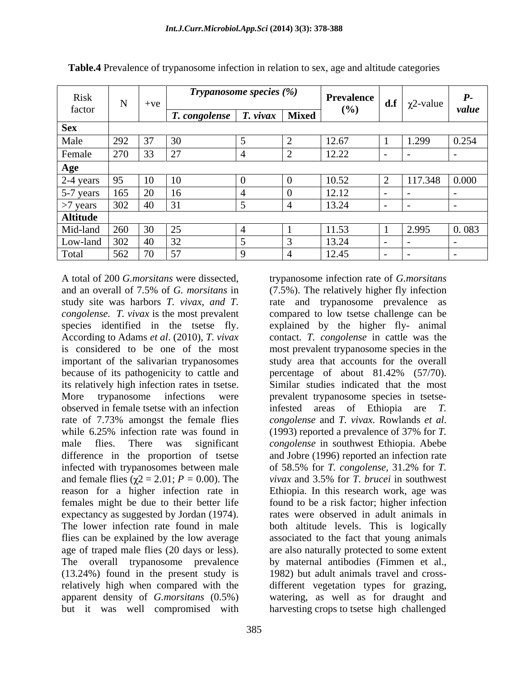| Risk                                      |                                 |          | <b>Trypanosome species (%)</b>                       |  |              | Prevalence |                          |                             | $P_{\bullet}$ |
|-------------------------------------------|---------------------------------|----------|------------------------------------------------------|--|--------------|------------|--------------------------|-----------------------------|---------------|
| factor                                    | <b>AT</b>                       | $+ve$    |                                                      |  |              | (%)        |                          | <b>d.f</b>   $\chi$ 2-value | value         |
|                                           |                                 |          | <i>T. congolense</i> $\vert$ <i>T. vivax</i> $\vert$ |  | <b>Mixed</b> |            |                          |                             |               |
| <b>Sex</b>                                |                                 |          |                                                      |  |              |            |                          |                             |               |
| Male                                      | 292                             | $\Omega$ |                                                      |  |              | 12.67      |                          | 1.299                       | 0.254         |
| Female                                    | 270                             | 33       | $\vert$ 27                                           |  |              | 12.22      |                          |                             |               |
| Age                                       |                                 |          |                                                      |  |              |            |                          |                             |               |
| 2-4 years                                 |                                 |          |                                                      |  |              | 10.52      |                          | 117.348 0.000               |               |
|                                           | 165                             | 20       | 16                                                   |  |              | 12.12      |                          |                             |               |
| $\frac{5-7 \text{ years}}{5}$<br>>7 years | 200<br>$\overline{\mathcal{L}}$ | 40       | 31                                                   |  |              | 13.24      |                          |                             |               |
|                                           |                                 |          |                                                      |  |              |            |                          |                             |               |
| Mid-land                                  | 260                             | 30       | 25                                                   |  |              | 11.53      |                          | 2.995                       | 0.083         |
| Low-land                                  | $\Omega$                        | 40       | $\Omega$                                             |  |              | 13.24      |                          |                             |               |
| Total                                     | 562                             | 70       | 57                                                   |  |              | 12.45      | $\overline{\phantom{0}}$ |                             | $\sim$        |

**Table.4** Prevalence of trypanosome infection in relation to sex, age and altitude categories

important of the salivarian trypanosomes because of its pathogenicity to cattle and percentage of about 81.42% (57/70). observed in female tsetse with an infection infested areas of Ethiopia are T. rate of 7.73% amongst the female flies *congolense* and *T. vivax.* Rowlands *et al.* infected with trypanosomes between male  $\qquad \qquad$  of 58.5% for *T. congolense*, 31.2% for *T.* and female flies  $(\gamma 2 = 2.01; P = 0.00)$ . The *vivax* and 3.5% for *T*. brucei in southwest flies can be explained by the low average age of traped male flies (20 days or less). but it was well compromised with harvesting crops to tsetse high challenged

A total of 200 *G.morsitans* were dissected, trypanosome infection rate of *G.morsitans* and an overall of 7.5% of *G. morsitans* in (7.5%). The relatively higher fly infection study site was harbors *T. vivax, and T.*  rate and trypanosome prevalence as *congolense. T. vivax* is the most prevalent compared to low tsetse challenge can be species identified in the tsetse fly. explained by the higher fly- animal According to Adams *et al*. (2010), *T. vivax*  contact. *T. congolense* in cattle was the is considered to be one of the most most prevalent trypanosome species in the its relatively high infection rates in tsetse. Similar studies indicated that the most More trypanosome infections were prevalent trypanosome species in tsetserate of 7.73% amongst the female flies congolense and *T. vivax.* Rowlands *et al.* While 6.25% infection rate was found in (1993) reported a prevalence of 37% for *T*. male flies. There was significant *congolense* in southwest Ethiopia. Abebe difference in the proportion of tsetse and Jobre (1996) reported an infection rate reason for a higher infection rate in Ethiopia. In this research work, age was females might be due to their better life found to be a risk factor; higher infection expectancy as suggested by Jordan (1974). rates were observed in adult animals in The lower infection rate found in male both altitude levels. This is logically The overall trypanosome prevalence by maternal antibodies (Fimmen et al., (13.24%) found in the present study is 1982) but adult animals travel and cross relatively high when compared with the different vegetation types for grazing, apparent density of *G.morsitans* (0.5%) watering, as well as for draught and study area that accounts for the overall percentage of about 81.42% (57/70). infested areas of Ethiopia are of 58.5% for *T. congolense,* 31.2% for *T. vivax* and 3.5% for *T. brucei* in southwest associated to the fact that young animals are also naturally protected to some extent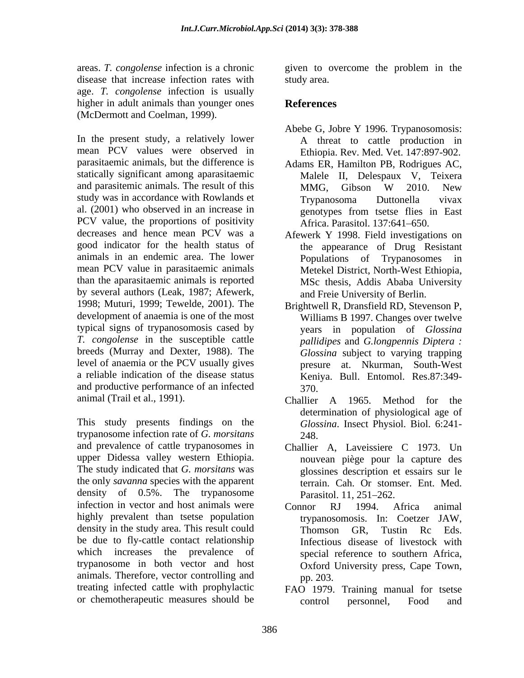areas. *T. congolense* infection is a chronic given to overcome the problem in the disease that increase infection rates with study area. age. *T. congolense* infection is usually higher in adult animals than younger ones **References** (McDermott and Coelman, 1999).

In the present study, a relatively lower mean PCV values were observed in Ethiopia. Rev. Med. Vet. 147:897-902. parasitaemic animals, but the difference is statically significant among aparasitaemic and parasitemic animals. The result of this MMG, Gibson W 2010. New study was in accordance with Rowlands et al. (2001) who observed in an increase in PCV value, the proportions of positivity decreases and hence mean PCV was a Afewerk Y 1998. Field investigations on good indicator for the health status of animals in an endemic area. The lower mean PCV value in parasitaemic animals than the aparasitaemic animals is reported by several authors (Leak, 1987; Afewerk, 1998; Muturi, 1999; Tewelde, 2001). The development of anaemia is one of the most typical signs of trypanosomosis cased by *T. congolense* in the susceptible cattle breeds (Murray and Dexter, 1988). The level of anaemia or the PCV usually gives a reliable indication of the disease status and productive performance of an infected animal (Trail et al., 1991). Challier A 1965. Method for the

This study presents findings on the trypanosome infection rate of *G. morsitans*  and prevalence of cattle trypanosomes in upper Didessa valley western Ethiopia. The study indicated that *G. morsitans* was glossines description et essairs sur le the only *savanna* species with the apparent density of 0.5%. The trypanosome Parasitol 11, 251–262. infection in vector and host animals were <br>
Connor RI 1994 Africa animal highly prevalent than tsetse population density in the study area. This result could<br>
Thomson GR. Tustin Rc Eds. be due to fly-cattle contact relationship which increases the prevalence of trypanosome in both vector and host animals. Therefore, vector controlling and pp. 203. treating infected cattle with prophylactic FAO 1979. Training manual for tsetse

study area.

# **References**

- Abebe G, Jobre Y 1996. Trypanosomosis: A threat to cattle production in
- Adams ER, Hamilton PB, Rodrigues AC, Malele II, Delespaux V, Teixera MMG, Gibson W 2010. New Trypanosoma Duttonella vivax genotypes from tsetse flies in East Africa. Parasitol. 137:641–650.
- the appearance of Drug Resistant Populations of Trypanosomes Metekel District, North-West Ethiopia, MSc thesis, Addis Ababa University and Freie University of Berlin.
- Brightwell R, Dransfield RD, Stevenson P, Williams B 1997. Changes over twelve years in population of *Glossina pallidipes* and *G.longpennis Diptera : Glossina* subject to varying trapping presure at. Nkurman, South-West Keniya. Bull. Entomol. Res.87:349- 370.
- Challier A 1965. Method for the determination of physiological age of *Glossina*. Insect Physiol. Biol. 6:241- 248.
- Challier A, Laveissiere C 1973. Un nouvean piège pour la capture des terrain. Cah. Or stomser. Ent. Med. Parasitol. 11, 251–262.
- Connor RJ 1994. Africa animal trypanosomosis. In: Coetzer JAW, Thomson GR, Tustin Rc Eds. Infectious disease of livestock with special reference to southern Africa, Oxford University press, Cape Town, pp. 203.
- or chemotherapeutic measures should be control personnel, Food and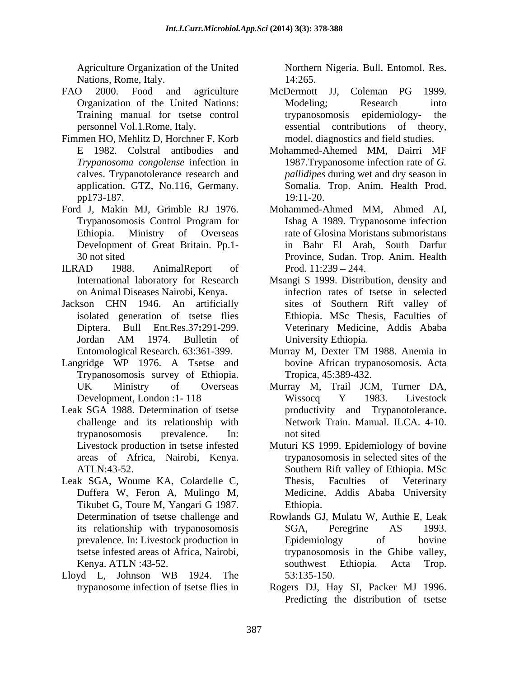Agriculture Organization of the United Nations, Rome, Italy. 14:265.

- FAO 2000. Food and agriculture McDermott JJ, Coleman PG 1999.
- Fimmen HO, Mehlitz D, Horchner F, Korb
- Ford J, Makin MJ, Grimble RJ 1976. Mohammed-Ahmed MM, Ahmed AI,
- 
- Jackson CHN 1946. An artificially
- Langridge WP 1976. A Tsetse and Trypanosomosis survey of Ethiopia.
- Leak SGA 1988. Determination of tsetse
- Leak SGA, Woume KA, Colardelle C, Thesis, Faculties of Veterinary
- Lloyd L, Johnson WB 1924. The

Northern Nigeria. Bull. Entomol. Res. 14:265.

- Organization of the United Nations: Training manual for tsetse control trypanosomosis epidemiology- the personnel Vol.1.Rome, Italy. essential contributions of theory, McDermott JJ, Coleman PG 1999. Modeling; Research into trypanosomosis epidemiology- the essential contributions model, diagnostics and field studies.
- E 1982. Colstral antibodies and Mohammed-Ahemed MM, Dairri MF *Trypanosoma congolense* infection in 1987.Trypanosome infection rate of *G.*  calves. Trypanotolerance research and *pallidipes* during wet and dry season in application. GTZ, No.116, Germany. Somalia. Trop. Anim. Health Prod. pp173-187. 19:11-20. 19:11-20.
- Trypanosomosis Control Program for Ishag A 1989. Trypanosome infection Ethiopia. Ministry of Overseas rate of Glosina Moristans submoristans Development of Great Britain. Pp.1- in Bahr El Arab, South Darfur 30 not sited Province, Sudan. Trop. Anim. Health ILRAD 1988. AnimalReport of Prod. 11:239 – 244. Prod.  $11:239 - 244$ .
	- International laboratory for Research Msangi S 1999. Distribution, density and on Animal Diseases Nairobi, Kenya. infection rates of tsetse in selected isolated generation of tsetse flies Ethiopia. MSc Thesis, Faculties of Diptera. Bull Ent.Res.37**:**291-299. Veterinary Medicine, Addis Ababa Jordan AM 1974. Bulletin of sites of Southern Rift valley of University Ethiopia.
	- Entomological Research*.* 63:361-399. Murray M, Dexter TM 1988. Anemia in bovine African trypanosomosis. Acta Tropica, 45:389-432.
	- UK Ministry of Overseas Murray M, Trail JCM, Turner DA, Development, London : 1 - 118 Wissocq Y 1983. Livestock challenge and its relationship with Network Train. Manual. ILCA. 4-10. trypanosomosis prevalence. In: Wissocq Y 1983. Livestock productivity and Trypanotolerance. not sited
	- Livestock production in tsetse infested Muturi KS 1999. Epidemiology of bovine areas of Africa, Nairobi, Kenya. trypanosomosis in selected sites of the ATLN:43-52. Southern Rift valley of Ethiopia. MSc Duffera W, Feron A, Mulingo M, Medicine, Addis Ababa University Tikubet G, Toure M, Yangari G 1987. Thesis, Faculties of Veterinary Ethiopia.
	- Determination of tsetse challenge and Rowlands GJ, Mulatu W, Authie E, Leak its relationship with trypanosomosis SGA, Peregrine AS 1993. prevalence. In: Livestock production in Epidemiology of bovine tsetse infested areas of Africa, Nairobi, trypanosomosis in the Ghibe valley, Kenya. ATLN :43-52. Southwest Ethiopia. Acta Trop. SGA, Peregrine AS 1993. Epidemiology of bovine southwest Ethiopia. Acta Trop. 53:135-150.
	- trypanosome infection of tsetse flies in Rogers DJ, Hay SI, Packer MJ 1996. Predicting the distribution of tsetse